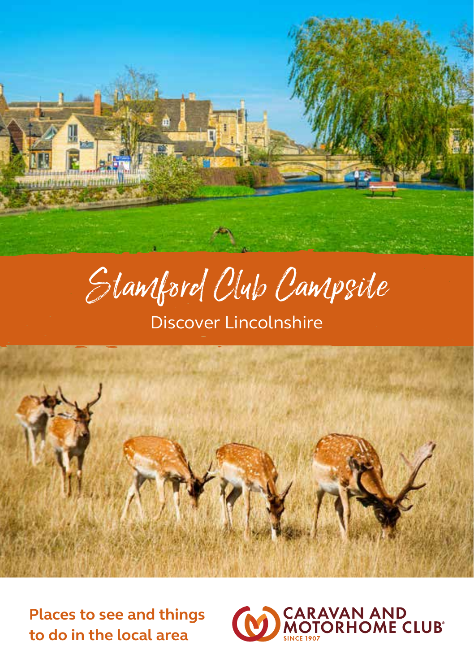

Stamford Club Campsite

Discover Lincolnshire



**Places to see and things to do in the local area**

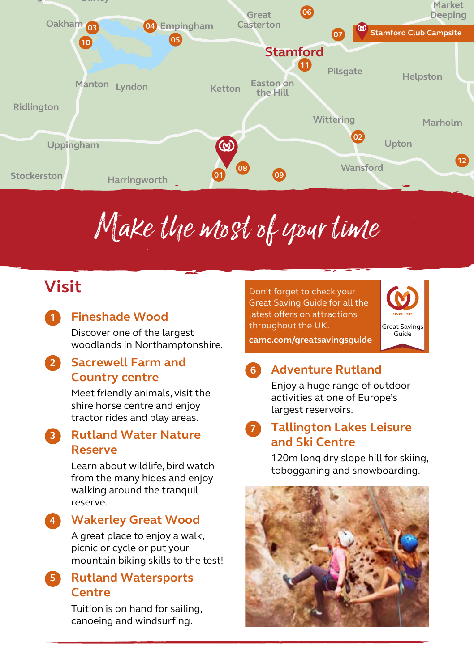

# Make the most of your time

# **Visit**

**1**

**4**

### **Fineshade Wood**

Discover one of the largest woodlands in Northamptonshire.

#### **Sacrewell Farm and Country centre 2**

Meet friendly animals, visit the shire horse centre and enjoy tractor rides and play areas.

#### **Rutland Water Nature Reserve 3**

Learn about wildlife, bird watch from the many hides and enjoy walking around the tranquil reserve.

### **Wakerley Great Wood**

A great place to enjoy a walk, picnic or cycle or put your mountain biking skills to the test!

#### **Rutland Watersports Centre 5**

Tuition is on hand for sailing, canoeing and windsurfing.

Don't forget to check your Great Saving Guide for all the latest offers on attractions throughout the UK.



**camc.com/greatsavingsguide**

#### **Adventure Rutland 6**

Enjoy a huge range of outdoor activities at one of Europe's largest reservoirs.

#### **Tallington Lakes Leisure and Ski Centre 7**

120m long dry slope hill for skiing, tobogganing and snowboarding.

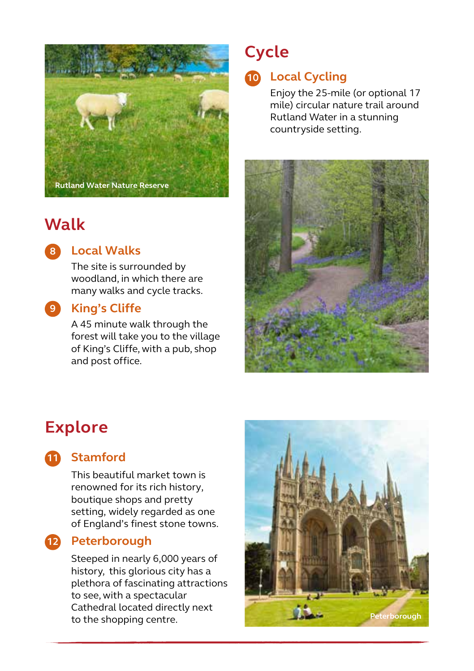

# **Walk**



#### **Local Walks 8**

The site is surrounded by woodland, in which there are many walks and cycle tracks.

#### **King's Cliffe 9**

A 45 minute walk through the forest will take you to the village of King's Cliffe, with a pub, shop and post office.

# **Cycle**

### **Local Cycling 10**

Enjoy the 25-mile (or optional 17 mile) circular nature trail around Rutland Water in a stunning countryside setting.



# **Explore**

#### **Stamford 11**

This beautiful market town is renowned for its rich history, boutique shops and pretty setting, widely regarded as one of England's finest stone towns.

#### **Peterborough 12**

Steeped in nearly 6,000 years of history, this glorious city has a plethora of fascinating attractions to see, with a spectacular Cathedral located directly next